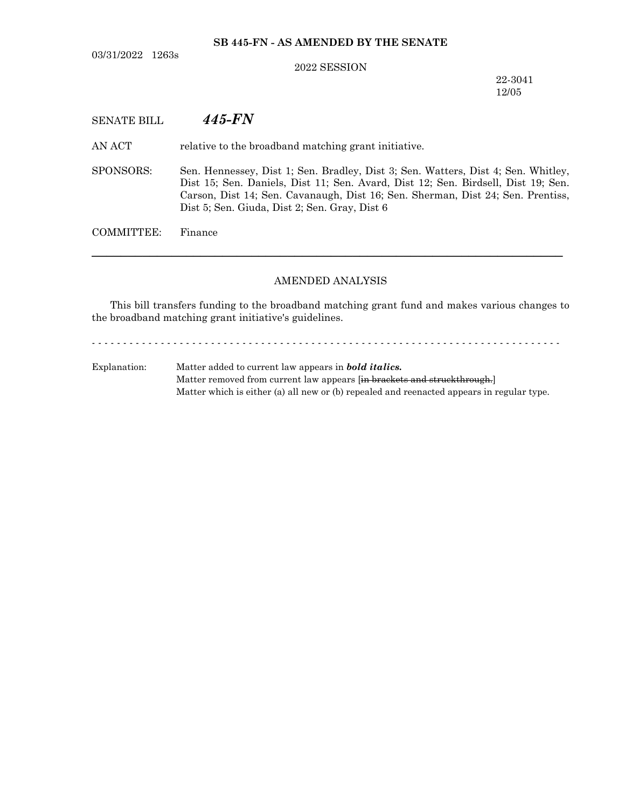03/31/2022 1263s

## **SB 445-FN - AS AMENDED BY THE SENATE**

#### 2022 SESSION

22-3041 12/05

# SENATE BILL *445-FN*

AN ACT relative to the broadband matching grant initiative.

SPONSORS: Sen. Hennessey, Dist 1; Sen. Bradley, Dist 3; Sen. Watters, Dist 4; Sen. Whitley, Dist 15; Sen. Daniels, Dist 11; Sen. Avard, Dist 12; Sen. Birdsell, Dist 19; Sen. Carson, Dist 14; Sen. Cavanaugh, Dist 16; Sen. Sherman, Dist 24; Sen. Prentiss, Dist 5; Sen. Giuda, Dist 2; Sen. Gray, Dist 6

COMMITTEE: Finance

### AMENDED ANALYSIS

─────────────────────────────────────────────────────────────────

This bill transfers funding to the broadband matching grant fund and makes various changes to the broadband matching grant initiative's guidelines.

- - - - - - - - - - - - - - - - - - - - - - - - - - - - - - - - - - - - - - - - - - - - - - - - - - - - - - - - - - - - - - - - - - - - - - - - - - -

Explanation: Matter added to current law appears in *bold italics.* Matter removed from current law appears [in brackets and struckthrough.] Matter which is either (a) all new or (b) repealed and reenacted appears in regular type.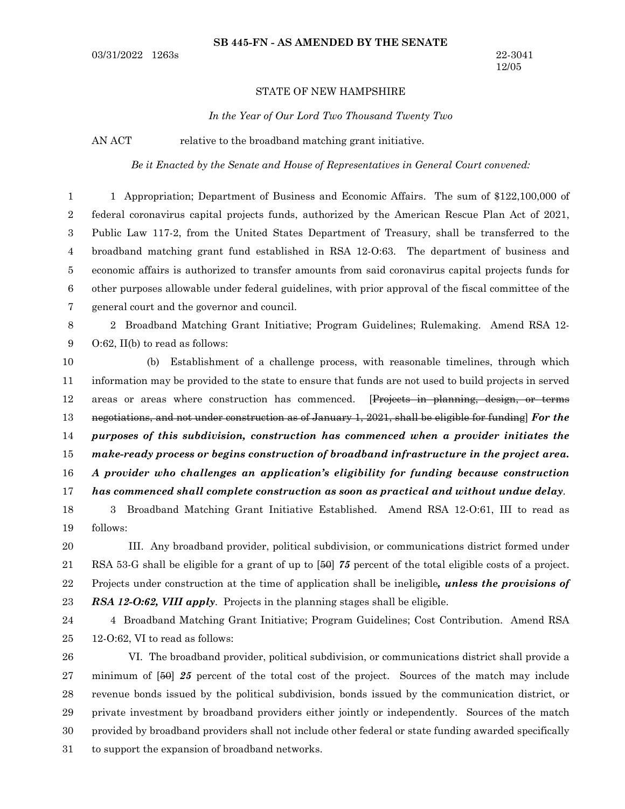#### STATE OF NEW HAMPSHIRE

*In the Year of Our Lord Two Thousand Twenty Two*

AN ACT relative to the broadband matching grant initiative.

*Be it Enacted by the Senate and House of Representatives in General Court convened:*

1 Appropriation; Department of Business and Economic Affairs. The sum of \$122,100,000 of federal coronavirus capital projects funds, authorized by the American Rescue Plan Act of 2021, Public Law 117-2, from the United States Department of Treasury, shall be transferred to the broadband matching grant fund established in RSA 12-O:63. The department of business and economic affairs is authorized to transfer amounts from said coronavirus capital projects funds for other purposes allowable under federal guidelines, with prior approval of the fiscal committee of the general court and the governor and council. 2 Broadband Matching Grant Initiative; Program Guidelines; Rulemaking. Amend RSA 12- O:62, II(b) to read as follows: (b) Establishment of a challenge process, with reasonable timelines, through which information may be provided to the state to ensure that funds are not used to build projects in served areas or areas where construction has commenced. [Projects in planning, design, or terms negotiations, and not under construction as of January 1, 2021, shall be eligible for funding] *For the purposes of this subdivision, construction has commenced when a provider initiates the make-ready process or begins construction of broadband infrastructure in the project area. A provider who challenges an application's eligibility for funding because construction has commenced shall complete construction as soon as practical and without undue delay*. 1 2 3 4 5 6 7 8 9 10 11 12 13 14 15 16 17

3 Broadband Matching Grant Initiative Established. Amend RSA 12-O:61, III to read as follows: 18 19

III. Any broadband provider, political subdivision, or communications district formed under RSA 53-G shall be eligible for a grant of up to [50] *75* percent of the total eligible costs of a project. Projects under construction at the time of application shall be ineligible*, unless the provisions of RSA 12-O:62, VIII apply*. Projects in the planning stages shall be eligible. 20 21 22 23

24

4 Broadband Matching Grant Initiative; Program Guidelines; Cost Contribution. Amend RSA 12-O:62, VI to read as follows: 25

VI. The broadband provider, political subdivision, or communications district shall provide a minimum of [50] *25* percent of the total cost of the project. Sources of the match may include revenue bonds issued by the political subdivision, bonds issued by the communication district, or private investment by broadband providers either jointly or independently. Sources of the match provided by broadband providers shall not include other federal or state funding awarded specifically to support the expansion of broadband networks. 26 27 28 29 30 31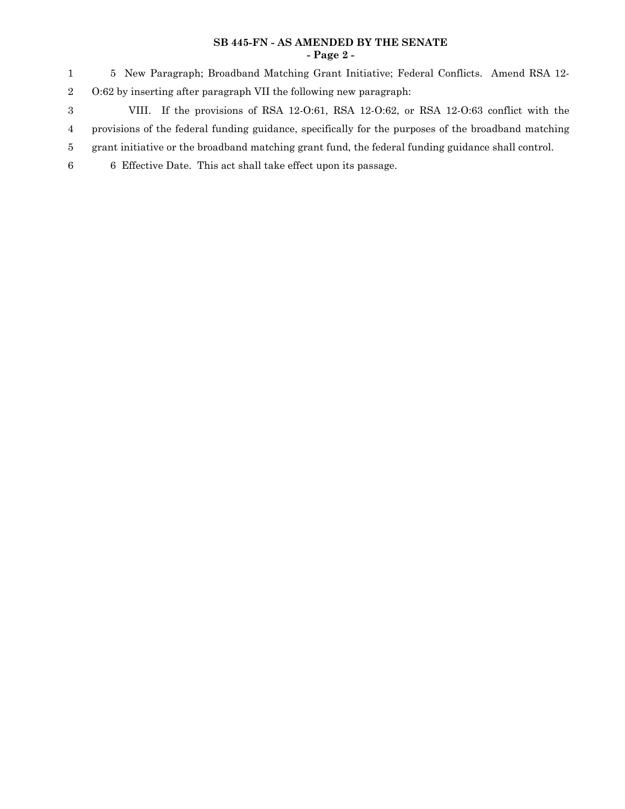## **SB 445-FN - AS AMENDED BY THE SENATE - Page 2 -**

5 New Paragraph; Broadband Matching Grant Initiative; Federal Conflicts. Amend RSA 12- O:62 by inserting after paragraph VII the following new paragraph: 1 2

3

4

- VIII. If the provisions of RSA 12-O:61, RSA 12-O:62, or RSA 12-O:63 conflict with the provisions of the federal funding guidance, specifically for the purposes of the broadband matching
- grant initiative or the broadband matching grant fund, the federal funding guidance shall control. 5
- 6 Effective Date. This act shall take effect upon its passage. 6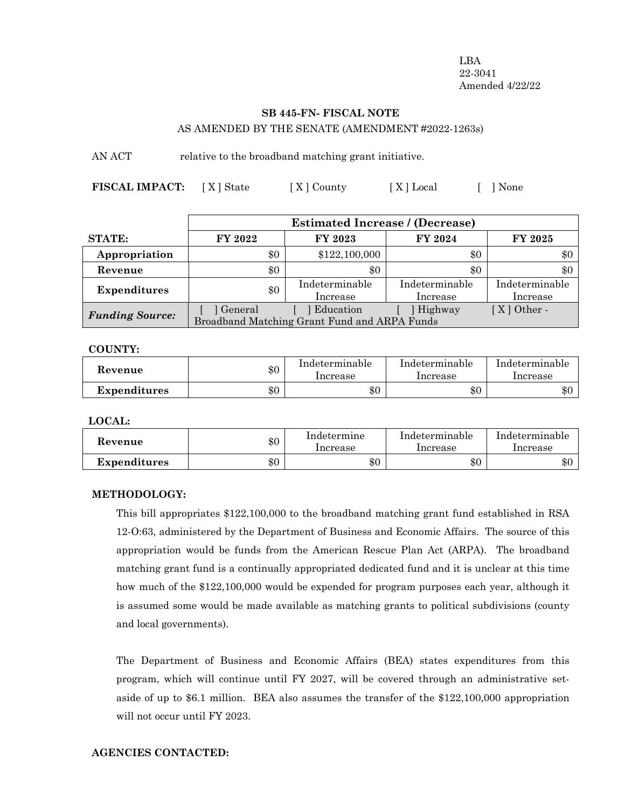LBA 22-3041 Amended 4/22/22

# **SB 445-FN- FISCAL NOTE**

AS AMENDED BY THE SENATE (AMENDMENT #2022-1263s)

AN ACT relative to the broadband matching grant initiative.

**FISCAL IMPACT:** [X] State [X] County [X] Local [ ] None

|                        | <b>Estimated Increase / (Decrease)</b>       |                |                |                  |  |
|------------------------|----------------------------------------------|----------------|----------------|------------------|--|
| <b>STATE:</b>          | FY 2022                                      | FY 2023        | FY 2024        | FY 2025          |  |
| Appropriation          | \$0                                          | \$122,100,000  | \$0            | \$0              |  |
| Revenue                | \$0                                          | \$0            | \$0            | \$0              |  |
| <b>Expenditures</b>    | \$0                                          | Indeterminable | Indeterminable | Indeterminable   |  |
|                        |                                              | Increase       | Increase       | Increase         |  |
| <b>Funding Source:</b> | ] General                                    | Education      | Highway        | $X \mid$ Other - |  |
|                        | Broadband Matching Grant Fund and ARPA Funds |                |                |                  |  |

**COUNTY:**

| Revenue      | \$0 | Indeterminable<br>Increase | Indeterminable<br>Increase | Indeterminable<br>Increase |
|--------------|-----|----------------------------|----------------------------|----------------------------|
| Expenditures | \$0 | \$0                        | \$0                        | \$0                        |

**LOCAL:**

| Kevenue             | \$0 | Indetermine<br>Increase | Indeterminable<br>Increase | Indeterminable<br>Increase |
|---------------------|-----|-------------------------|----------------------------|----------------------------|
| <b>Expenditures</b> | \$0 | $\$0$                   | \$0                        | \$0                        |

## **METHODOLOGY:**

This bill appropriates \$122,100,000 to the broadband matching grant fund established in RSA 12-O:63, administered by the Department of Business and Economic Affairs. The source of this appropriation would be funds from the American Rescue Plan Act (ARPA). The broadband matching grant fund is a continually appropriated dedicated fund and it is unclear at this time how much of the \$122,100,000 would be expended for program purposes each year, although it is assumed some would be made available as matching grants to political subdivisions (county and local governments).

The Department of Business and Economic Affairs (BEA) states expenditures from this program, which will continue until FY 2027, will be covered through an administrative setaside of up to \$6.1 million. BEA also assumes the transfer of the \$122,100,000 appropriation will not occur until FY 2023.